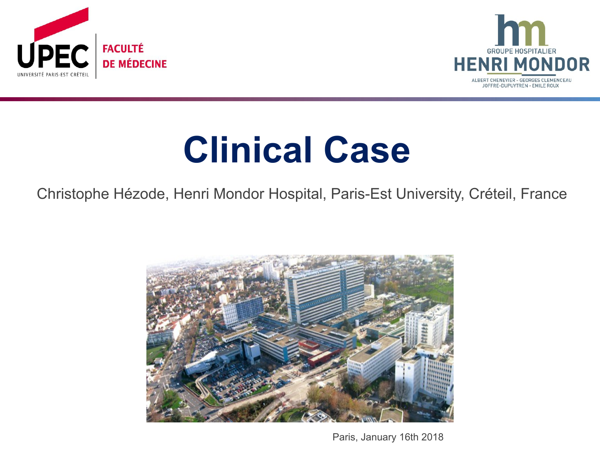



# **Clinical Case**

Christophe Hézode, Henri Mondor Hospital, Paris-Est University, Créteil, France



Paris, January 16th 2018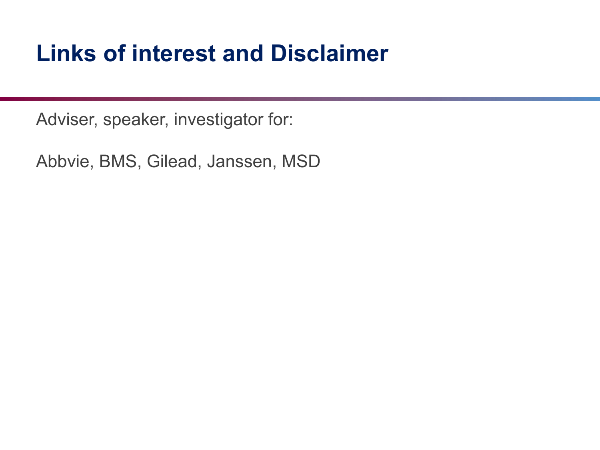#### **Links of interest and Disclaimer**

Adviser, speaker, investigator for:

Abbvie, BMS, Gilead, Janssen, MSD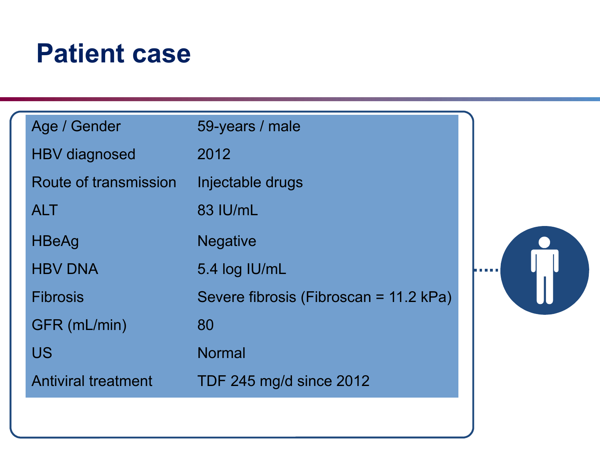| Age / Gender               | 59-years / male                        |
|----------------------------|----------------------------------------|
| <b>HBV</b> diagnosed       | 2012                                   |
| Route of transmission      | Injectable drugs                       |
| <b>ALT</b>                 | 83 IU/mL                               |
| <b>HBeAg</b>               | <b>Negative</b>                        |
| <b>HBV DNA</b>             | 5.4 log IU/mL                          |
| <b>Fibrosis</b>            | Severe fibrosis (Fibroscan = 11.2 kPa) |
| GFR (mL/min)               | 80                                     |
| <b>US</b>                  | <b>Normal</b>                          |
| <b>Antiviral treatment</b> | TDF 245 mg/d since 2012                |

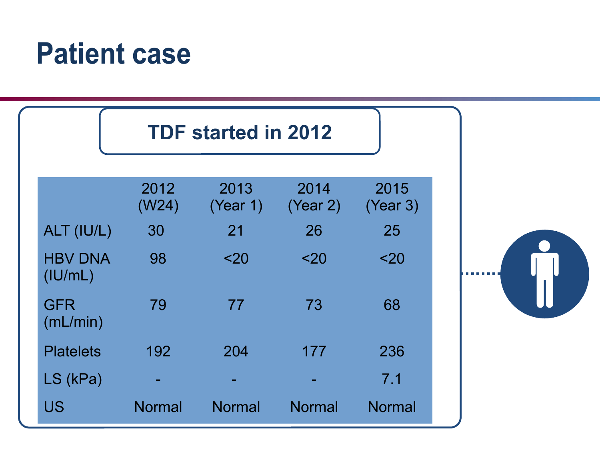#### **TDF started in 2012**

|                           | 2012<br>(W24) | 2013<br>(Year 1) | 2014<br>(Year 2) | 2015<br>(Year 3) |
|---------------------------|---------------|------------------|------------------|------------------|
| ALT (IU/L)                | 30            | 21               | 26               | 25               |
| <b>HBV DNA</b><br>(IU/mL) | 98            | $20$             | $20$             | $20$             |
| <b>GFR</b><br>(mL/min)    | 79            | 77               | 73               | 68               |
| <b>Platelets</b>          | 192           | 204              | 177              | 236              |
| LS (kPa)                  |               |                  |                  | 7.1              |
| US                        | <b>Normal</b> | <b>Normal</b>    | <b>Normal</b>    | <b>Normal</b>    |

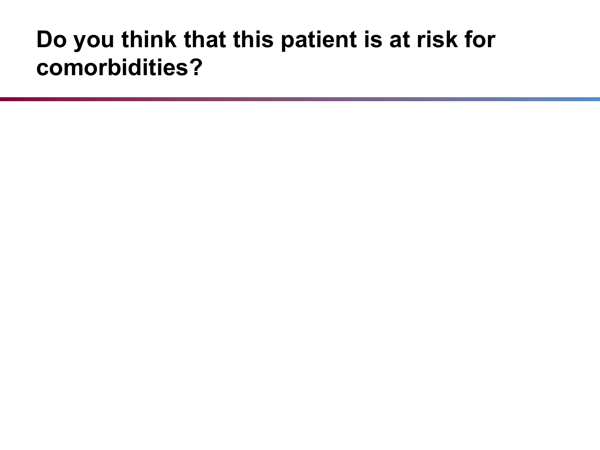#### **Do you think that this patient is at risk for comorbidities?**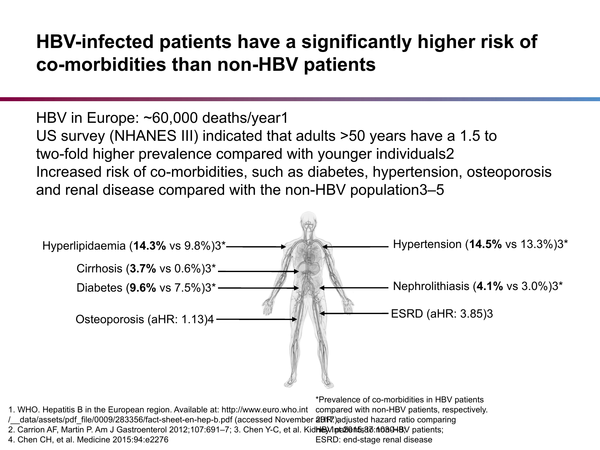#### **HBV-infected patients have a significantly higher risk of co-morbidities than non-HBV patients**

HBV in Europe: ~60,000 deaths/year1 US survey (NHANES III) indicated that adults >50 years have a 1.5 to two-fold higher prevalence compared with younger individuals2 Increased risk of co-morbidities, such as diabetes, hypertension, osteoporosis and renal disease compared with the non-HBV population3–5

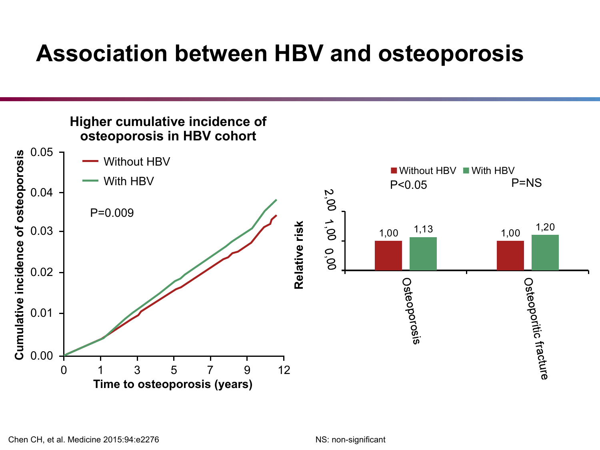#### **Association between HBV and osteoporosis**

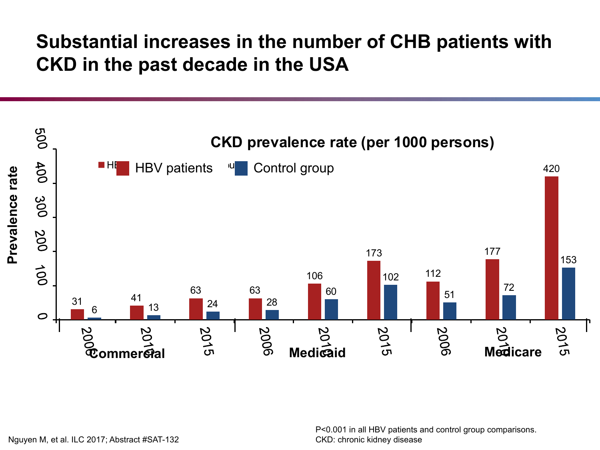#### **Substantial increases in the number of CHB patients with CKD in the past decade in the USA**



P<0.001 in all HBV patients and control group comparisons.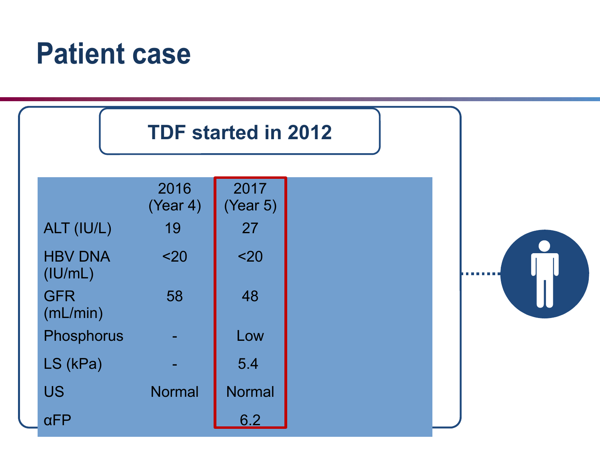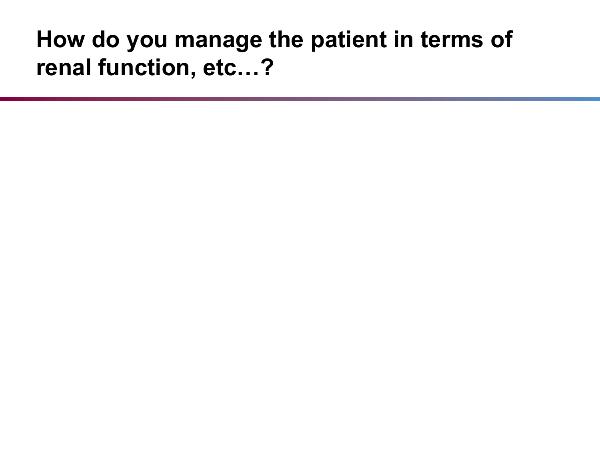#### **How do you manage the patient in terms of renal function, etc…?**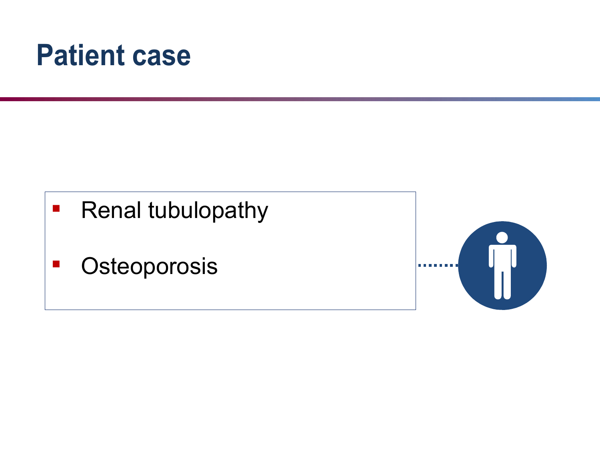- Renal tubulopathy
- **-** Osteoporosis

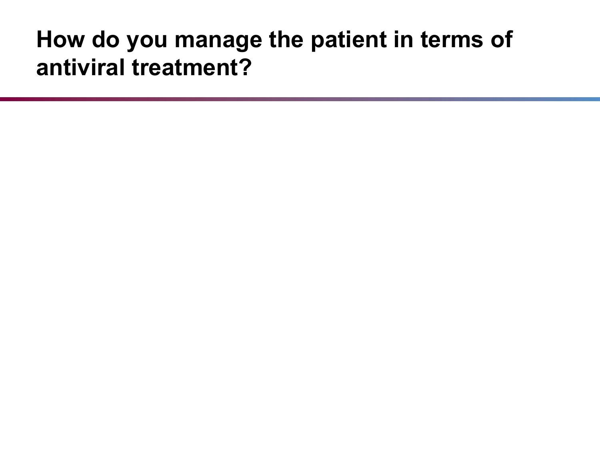#### **How do you manage the patient in terms of antiviral treatment?**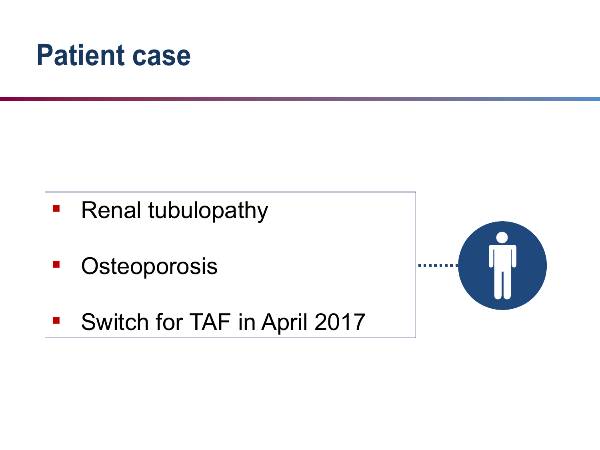- Renal tubulopathy
- **Osteoporosis**
- **Switch for TAF in April 2017**

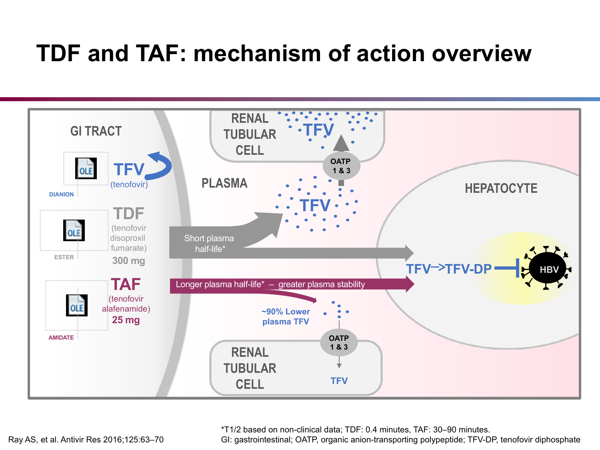#### **TDF and TAF: mechanism of action overview**



\*T1/2 based on non-clinical data; TDF: 0.4 minutes, TAF: 30–90 minutes.

Ray AS, et al. Antivir Res 2016;125:63–70 GI: gastrointestinal; OATP, organic anion-transporting polypeptide; TFV-DP, tenofovir diphosphate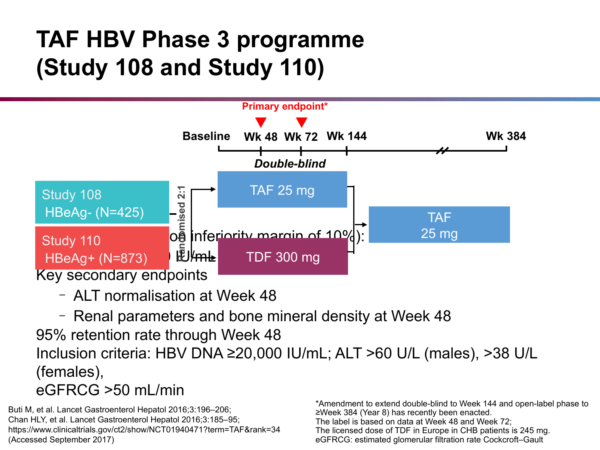### **TAF HBV Phase 3 programme (Study 108 and Study 110)**



– ALT normalisation at Week 48

– Renal parameters and bone mineral density at Week 48 95% retention rate through Week 48 Inclusion criteria: HBV DNA ≥20,000 IU/mL; ALT >60 U/L (males), >38 U/L (females), eGFRCG >50 mL/min

Buti M, et al. Lancet Gastroenterol Hepatol 2016;3:196–206; Chan HLY, et al. Lancet Gastroenterol Hepatol 2016;3:185–95; https://www.clinicaltrials.gov/ct2/show/NCT01940471?term=TAF&rank=34 (Accessed September 2017)

\*Amendment to extend double-blind to Week 144 and open-label phase to ≥Week 384 (Year 8) has recently been enacted. The label is based on data at Week 48 and Week 72; The licensed dose of TDF in Europe in CHB patients is 245 mg. eGFRCG: estimated glomerular filtration rate Cockcroft–Gault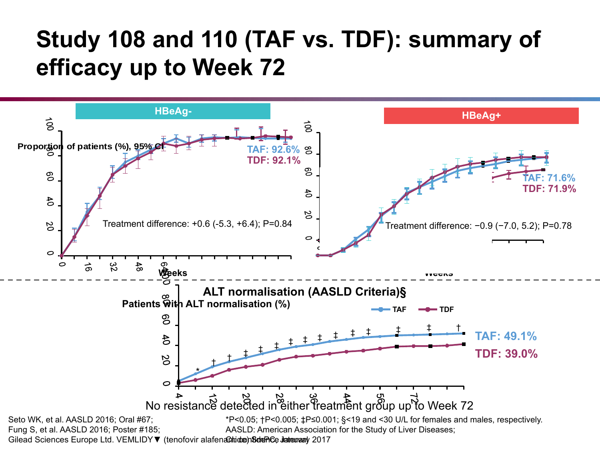#### **Study 108 and 110 (TAF vs. TDF): summary of efficacy up to Week 72**

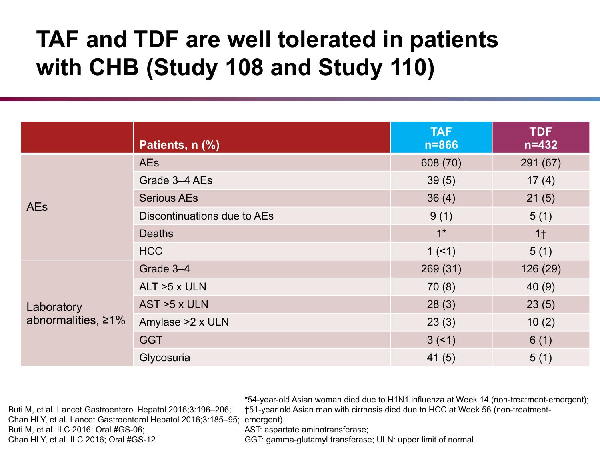### **TAF and TDF are well tolerated in patients with CHB (Study 108 and Study 110)**

|                                         | Patients, n (%)             | <b>TAF</b><br>$n = 866$ | <b>TDF</b><br>$n = 432$ |
|-----------------------------------------|-----------------------------|-------------------------|-------------------------|
| <b>AEs</b>                              | <b>AEs</b>                  | 608 (70)                | 291(67)                 |
|                                         | Grade 3-4 AEs               | 39(5)                   | 17(4)                   |
|                                         | <b>Serious AEs</b>          | 36(4)                   | 21(5)                   |
|                                         | Discontinuations due to AEs | 9(1)                    | 5(1)                    |
|                                         | <b>Deaths</b>               | $1^*$                   | 1 <sup>†</sup>          |
|                                         | <b>HCC</b>                  | 1(51)                   | 5(1)                    |
| Laboratory<br>abnormalities, $\geq 1\%$ | Grade 3-4                   | 269(31)                 | 126 (29)                |
|                                         | ALT >5 x ULN                | 70(8)                   | 40(9)                   |
|                                         | AST >5 x ULN                | 28(3)                   | 23(5)                   |
|                                         | Amylase >2 x ULN            | 23(3)                   | 10(2)                   |
|                                         | <b>GGT</b>                  | 3(5)                    | 6(1)                    |
|                                         | Glycosuria                  | 41(5)                   | 5(1)                    |

Chan HLY, et al. Lancet Gastroenterol Hepatol 2016;3:185-95; emergent). Buti M, et al. Lancet Gastroenterol Hepatol 2016;3:196–206; Buti M, et al. ILC 2016; Oral #GS-06; Chan HLY, et al. ILC 2016; Oral #GS-12

\*54-year-old Asian woman died due to H1N1 influenza at Week 14 (non-treatment-emergent); †51-year old Asian man with cirrhosis died due to HCC at Week 56 (non-treatment-

AST: aspartate aminotransferase;

GGT: gamma-glutamyl transferase; ULN: upper limit of normal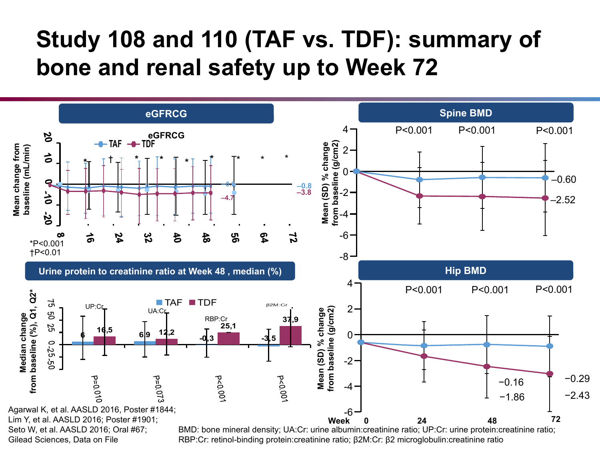### **Study 108 and 110 (TAF vs. TDF): summary of bone and renal safety up to Week 72**

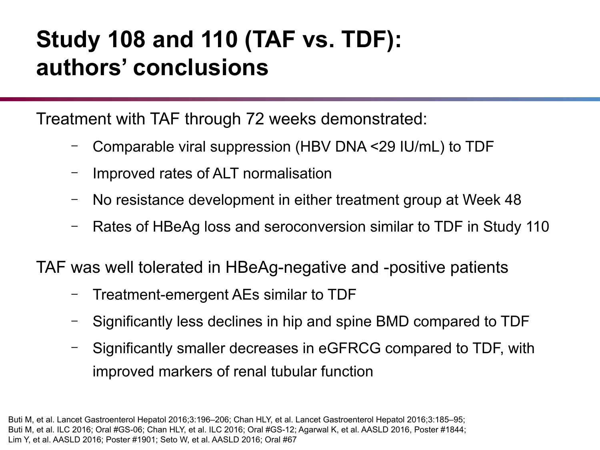### **Study 108 and 110 (TAF vs. TDF): authors' conclusions**

Treatment with TAF through 72 weeks demonstrated:

- Comparable viral suppression (HBV DNA <29 IU/mL) to TDF
- Improved rates of ALT normalisation
- No resistance development in either treatment group at Week 48
- Rates of HBeAg loss and seroconversion similar to TDF in Study 110

TAF was well tolerated in HBeAg-negative and -positive patients

- Treatment-emergent AEs similar to TDF
- Significantly less declines in hip and spine BMD compared to TDF
- Significantly smaller decreases in eGFRCG compared to TDF, with improved markers of renal tubular function

Buti M, et al. Lancet Gastroenterol Hepatol 2016;3:196–206; Chan HLY, et al. Lancet Gastroenterol Hepatol 2016;3:185–95; Buti M, et al. ILC 2016; Oral #GS-06; Chan HLY, et al. ILC 2016; Oral #GS-12; Agarwal K, et al. AASLD 2016, Poster #1844; Lim Y, et al. AASLD 2016; Poster #1901; Seto W, et al. AASLD 2016; Oral #67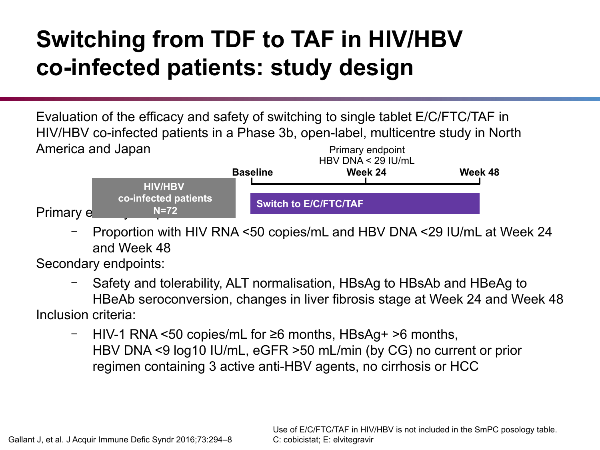### **Switching from TDF to TAF in HIV/HBV co-infected patients: study design**

Evaluation of the efficacy and safety of switching to single tablet E/C/FTC/TAF in HIV/HBV co-infected patients in a Phase 3b, open-label, multicentre study in North America and Japan Primary endpoint



– Proportion with HIV RNA <50 copies/mL and HBV DNA <29 IU/mL at Week 24 and Week 48

Secondary endpoints:

- Safety and tolerability, ALT normalisation, HBsAg to HBsAb and HBeAg to HBeAb seroconversion, changes in liver fibrosis stage at Week 24 and Week 48 Inclusion criteria:
	- HIV-1 RNA <50 copies/mL for ≥6 months, HBsAg+ >6 months, HBV DNA <9 log10 IU/mL, eGFR >50 mL/min (by CG) no current or prior regimen containing 3 active anti-HBV agents, no cirrhosis or HCC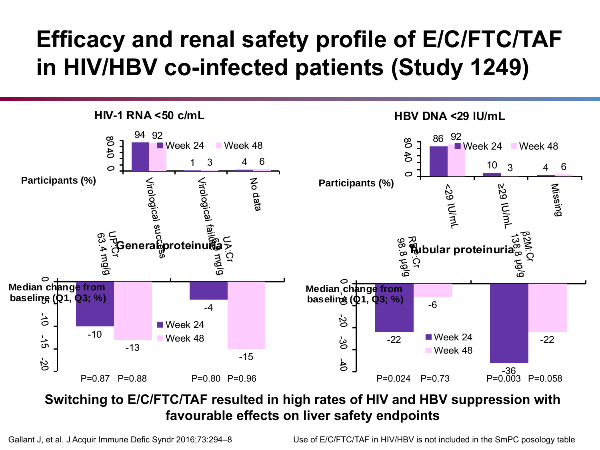### **Efficacy and renal safety profile of E/C/FTC/TAF in HIV/HBV co-infected patients (Study 1249)**



#### **Switching to E/C/FTC/TAF resulted in high rates of HIV and HBV suppression with favourable effects on liver safety endpoints**

Gallant J, et al. J Acquir Immune Defic Syndr 2016;73:294–8 Use of E/C/FTC/TAF in HIV/HBV is not included in the SmPC posology table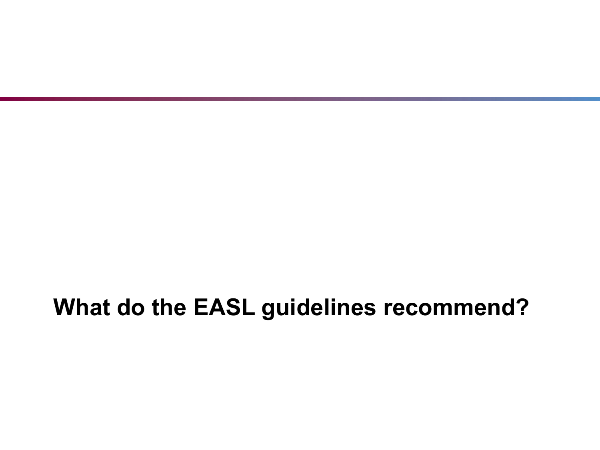#### **What do the EASL guidelines recommend?**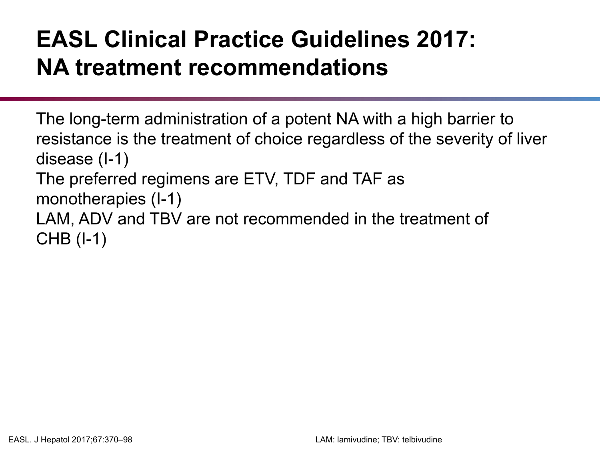### **EASL Clinical Practice Guidelines 2017: NA treatment recommendations**

The long-term administration of a potent NA with a high barrier to resistance is the treatment of choice regardless of the severity of liver disease (I-1) The preferred regimens are ETV, TDF and TAF as monotherapies (I-1) LAM, ADV and TBV are not recommended in the treatment of CHB (I-1)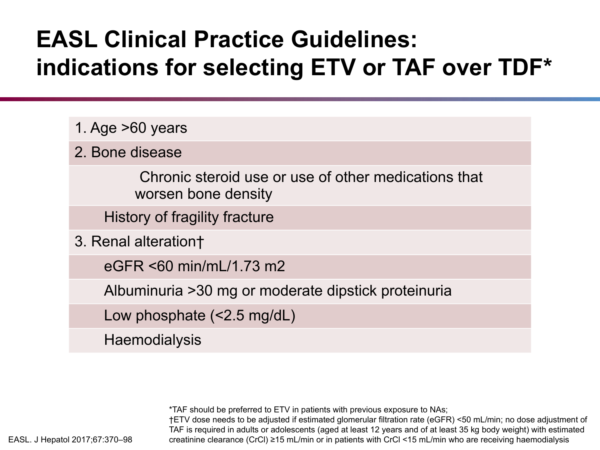### **EASL Clinical Practice Guidelines: indications for selecting ETV or TAF over TDF\***

- 1. Age >60 years
- 2. Bone disease

Chronic steroid use or use of other medications that worsen bone density

History of fragility fracture

3. Renal alteration†

eGFR <60 min/mL/1.73 m2

Albuminuria >30 mg or moderate dipstick proteinuria

Low phosphate (<2.5 mg/dL)

**Haemodialysis** 

\*TAF should be preferred to ETV in patients with previous exposure to NAs; †ETV dose needs to be adjusted if estimated glomerular filtration rate (eGFR) <50 mL/min; no dose adjustment of TAF is required in adults or adolescents (aged at least 12 years and of at least 35 kg body weight) with estimated EASL. J Hepatol 2017;67:370–98 creatinine clearance (CrCl) ≥15 mL/min or in patients with CrCl <15 mL/min who are receiving haemodialysis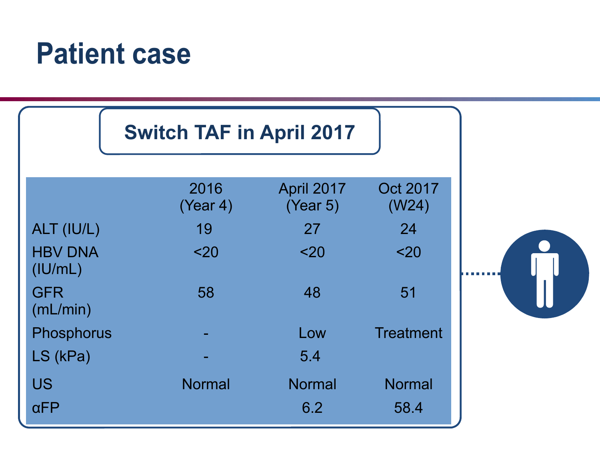| <b>Switch TAF in April 2017</b> |  |  |  |  |
|---------------------------------|--|--|--|--|
|---------------------------------|--|--|--|--|

|                           | 2016<br>(Year 4) | April 2017<br>(Year 5) | Oct 2017<br>(W24) |
|---------------------------|------------------|------------------------|-------------------|
| ALT (IU/L)                | 19               | 27                     | 24                |
| <b>HBV DNA</b><br>(IU/mL) | $20$             | $20$                   | $20$              |
| <b>GFR</b><br>(mL/min)    | 58               | 48                     | 51                |
| Phosphorus                |                  | Low                    | <b>Treatment</b>  |
| LS (kPa)                  |                  | 5.4                    |                   |
| US                        | <b>Normal</b>    | <b>Normal</b>          | <b>Normal</b>     |
| $\alpha$ FP               |                  | 6.2                    | 58.4              |

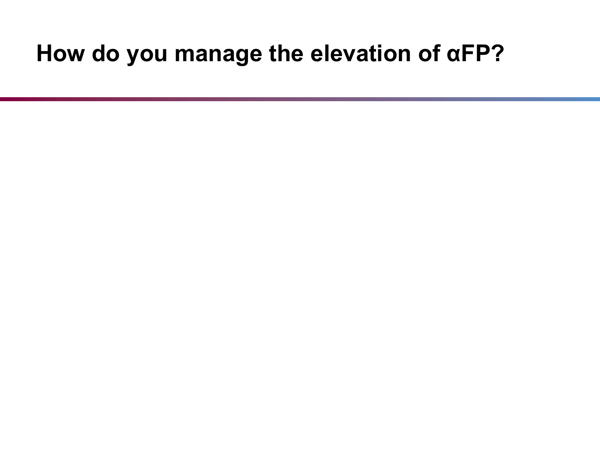#### **How do you manage the elevation of αFP?**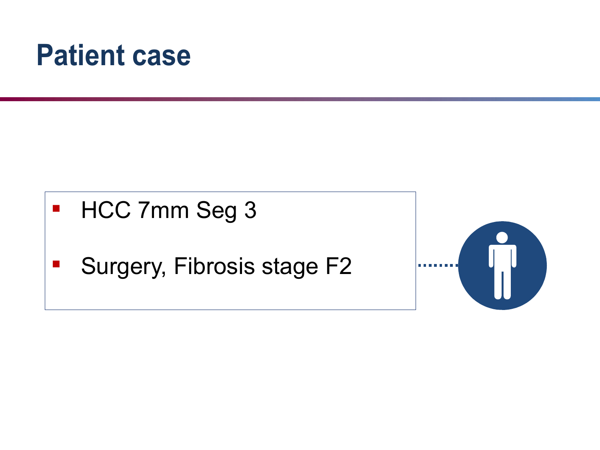- **HCC 7mm Seg 3**
- **Surgery, Fibrosis stage F2**

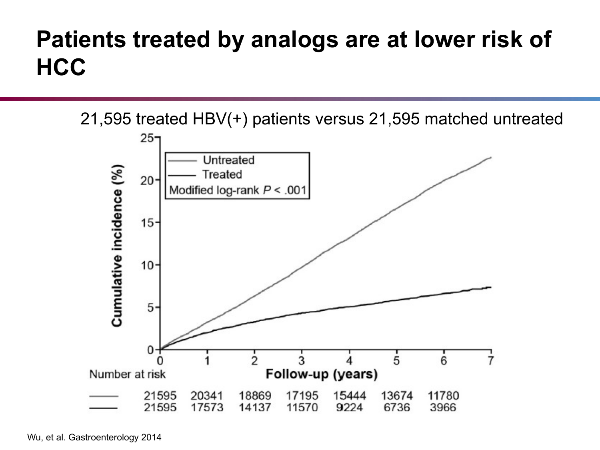#### **Patients treated by analogs are at lower risk of HCC**

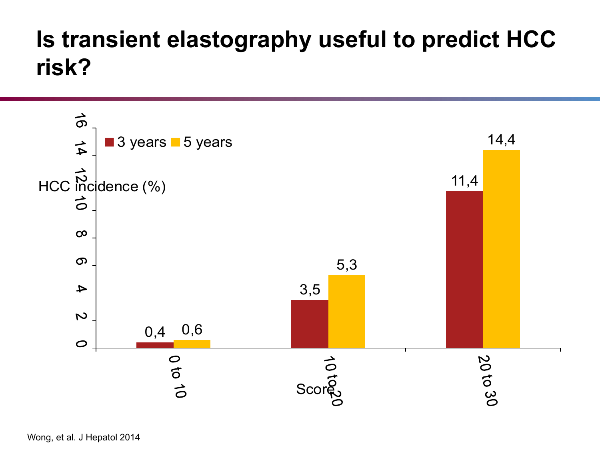#### **Is transient elastography useful to predict HCC risk?**